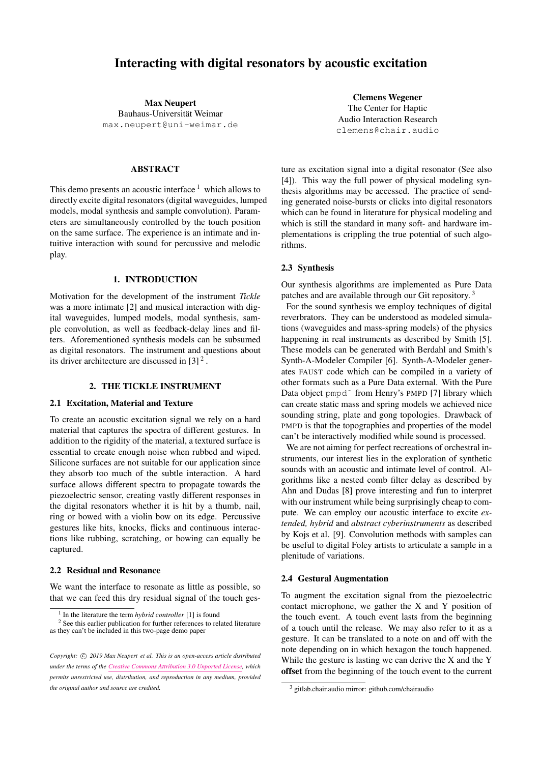# Interacting with digital resonators by acoustic excitation

Max Neupert Bauhaus-Universität Weimar max.neupert@uni-weimar.de

## ABSTRACT

This demo presents an acoustic interface  $1$  which allows to directly excite digital resonators (digital waveguides, lumped models, modal synthesis and sample convolution). Parameters are simultaneously controlled by the touch position on the same surface. The experience is an intimate and intuitive interaction with sound for percussive and melodic play.

#### 1. INTRODUCTION

Motivation for the development of the instrument *Tickle* was a more intimate [2] and musical interaction with digital waveguides, lumped models, modal synthesis, sample convolution, as well as feedback-delay lines and filters. Aforementioned synthesis models can be subsumed as digital resonators. The instrument and questions about its driver architecture are discussed in  $[3]^2$ .

# 2. THE TICKLE INSTRUMENT

# 2.1 Excitation, Material and Texture

To create an acoustic excitation signal we rely on a hard material that captures the spectra of different gestures. In addition to the rigidity of the material, a textured surface is essential to create enough noise when rubbed and wiped. Silicone surfaces are not suitable for our application since they absorb too much of the subtle interaction. A hard surface allows different spectra to propagate towards the piezoelectric sensor, creating vastly different responses in the digital resonators whether it is hit by a thumb, nail, ring or bowed with a violin bow on its edge. Percussive gestures like hits, knocks, flicks and continuous interactions like rubbing, scratching, or bowing can equally be captured.

# 2.2 Residual and Resonance

We want the interface to resonate as little as possible, so that we can feed this dry residual signal of the touch ges-

Clemens Wegener The Center for Haptic Audio Interaction Research clemens@chair.audio

ture as excitation signal into a digital resonator (See also [4]). This way the full power of physical modeling synthesis algorithms may be accessed. The practice of sending generated noise-bursts or clicks into digital resonators which can be found in literature for physical modeling and which is still the standard in many soft- and hardware implementations is crippling the true potential of such algorithms.

#### 2.3 Synthesis

Our synthesis algorithms are implemented as Pure Data patches and are available through our Git repository. <sup>3</sup>

For the sound synthesis we employ techniques of digital reverbrators. They can be understood as modeled simulations (waveguides and mass-spring models) of the physics happening in real instruments as described by Smith [5]. These models can be generated with Berdahl and Smith's Synth-A-Modeler Compiler [6]. Synth-A-Modeler generates FAUST code which can be compiled in a variety of other formats such as a Pure Data external. With the Pure Data object pmpd<sup>~</sup> from Henry's PMPD [7] library which can create static mass and spring models we achieved nice sounding string, plate and gong topologies. Drawback of PMPD is that the topographies and properties of the model can't be interactively modified while sound is processed.

We are not aiming for perfect recreations of orchestral instruments, our interest lies in the exploration of synthetic sounds with an acoustic and intimate level of control. Algorithms like a nested comb filter delay as described by Ahn and Dudas [8] prove interesting and fun to interpret with our instrument while being surprisingly cheap to compute. We can employ our acoustic interface to excite *extended, hybrid* and *abstract cyberinstruments* as described by Kojs et al. [9]. Convolution methods with samples can be useful to digital Foley artists to articulate a sample in a plenitude of variations.

#### 2.4 Gestural Augmentation

To augment the excitation signal from the piezoelectric contact microphone, we gather the X and Y position of the touch event. A touch event lasts from the beginning of a touch until the release. We may also refer to it as a gesture. It can be translated to a note on and off with the note depending on in which hexagon the touch happened. While the gesture is lasting we can derive the X and the Y offset from the beginning of the touch event to the current

<sup>&</sup>lt;sup>1</sup> In the literature the term *hybrid controller* [1] is found

<sup>&</sup>lt;sup>2</sup> See this earlier publication for further references to related literature as they can't be included in this two-page demo paper

Copyright:  $\odot$  2019 Max Neupert et al. This is an open-access article distributed *under the terms of the Creative Commons Attribution 3.0 Unported License, which permits unrestricted use, distribution, and reproduction in any medium, provided the original author and source are credited.*

<sup>3</sup> gitlab.chair.audio mirror: github.com/chairaudio